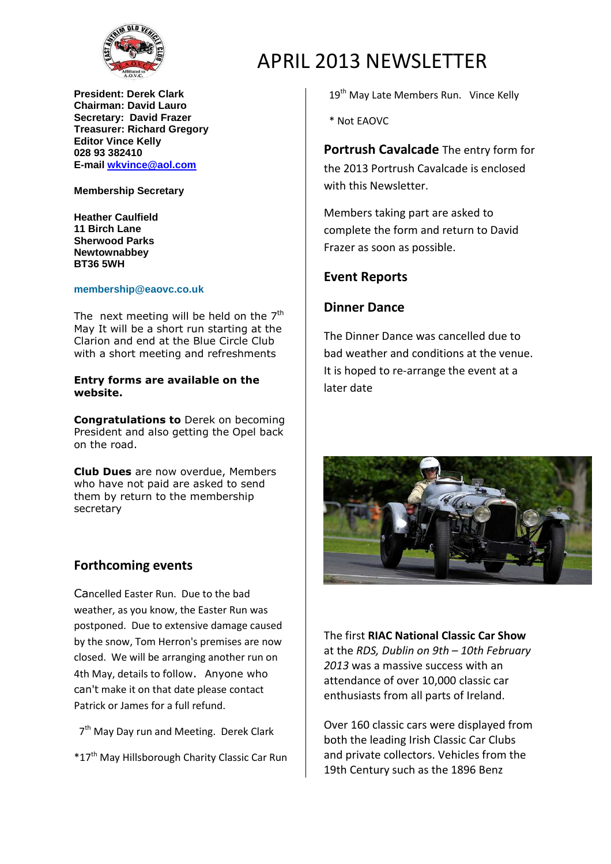

**President: Derek Clark Chairman: David Lauro Secretary: David Frazer Treasurer: Richard Gregory Editor Vince Kelly 028 93 382410 E-mail wkvince@aol.com**

#### **Membership Secretary**

**Heather Caulfield 11 Birch Lane Sherwood Parks Newtownabbey BT36 5WH**

#### **membership@eaovc.co.uk**

The next meeting will be held on the  $7<sup>th</sup>$ May It will be a short run starting at the Clarion and end at the Blue Circle Club with a short meeting and refreshments

### **Entry forms are available on the website.**

**Congratulations to** Derek on becoming President and also getting the Opel back on the road.

**Club Dues** are now overdue, Members who have not paid are asked to send them by return to the membership secretary

## **Forthcoming events**

Cancelled Easter Run. Due to the bad weather, as you know, the Easter Run was postponed. Due to extensive damage caused by the snow, Tom Herron's premises are now closed. We will be arranging another run on 4th May, details to follow. Anyone who can't make it on that date please contact Patrick or James for a full refund.

7<sup>th</sup> May Day run and Meeting. Derek Clark

\*17th May Hillsborough Charity Classic Car Run

# APRIL 2013 NEWSLETTER

19<sup>th</sup> May Late Members Run. Vince Kelly

\* Not EAOVC

**Portrush Cavalcade** The entry form for the 2013 Portrush Cavalcade is enclosed with this Newsletter

Members taking part are asked to complete the form and return to David Frazer as soon as possible.

## **Event Reports**

### **Dinner Dance**

The Dinner Dance was cancelled due to bad weather and conditions at the venue. It is hoped to re-arrange the event at a later date



The first **RIAC National Classic Car Show** at the *RDS, Dublin on 9th – 10th February 2013* was a massive success with an attendance of over 10,000 classic car enthusiasts from all parts of Ireland.

Over 160 classic cars were displayed from both the leading Irish Classic Car Clubs and private collectors. Vehicles from the 19th Century such as the 1896 Benz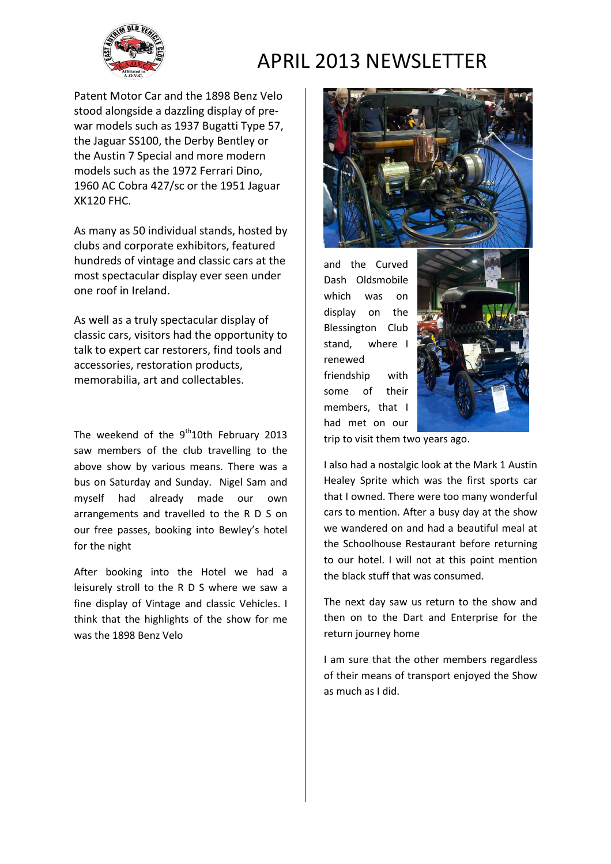

# APRIL 2013 NEWSLETTER

Patent Motor Car and the 1898 Benz Velo stood alongside a dazzling display of prewar models such as 1937 Bugatti Type 57, the Jaguar SS100, the Derby Bentley or the Austin 7 Special and more modern models such as the 1972 Ferrari Dino, 1960 AC Cobra 427/sc or the 1951 Jaguar XK120 FHC.

As many as 50 individual stands, hosted by clubs and corporate exhibitors, featured hundreds of vintage and classic cars at the most spectacular display ever seen under one roof in Ireland.

As well as a truly spectacular display of classic cars, visitors had the opportunity to talk to expert car restorers, find tools and accessories, restoration products, memorabilia, art and collectables.

The weekend of the  $9<sup>th</sup>10$ th February 2013 saw members of the club travelling to the above show by various means. There was a bus on Saturday and Sunday. Nigel Sam and myself had already made our own arrangements and travelled to the R D S on our free passes, booking into Bewley's hotel for the night

After booking into the Hotel we had a leisurely stroll to the R D S where we saw a fine display of Vintage and classic Vehicles. I think that the highlights of the show for me was the 1898 Benz Velo



and the Curved Dash Oldsmobile which was on display on the Blessington Club stand, where I renewed friendship with some of their members, that I had met on our



trip to visit them two years ago.

I also had a nostalgic look at the Mark 1 Austin Healey Sprite which was the first sports car that I owned. There were too many wonderful cars to mention. After a busy day at the show we wandered on and had a beautiful meal at the Schoolhouse Restaurant before returning to our hotel. I will not at this point mention the black stuff that was consumed.

The next day saw us return to the show and then on to the Dart and Enterprise for the return journey home

I am sure that the other members regardless of their means of transport enjoyed the Show as much as I did.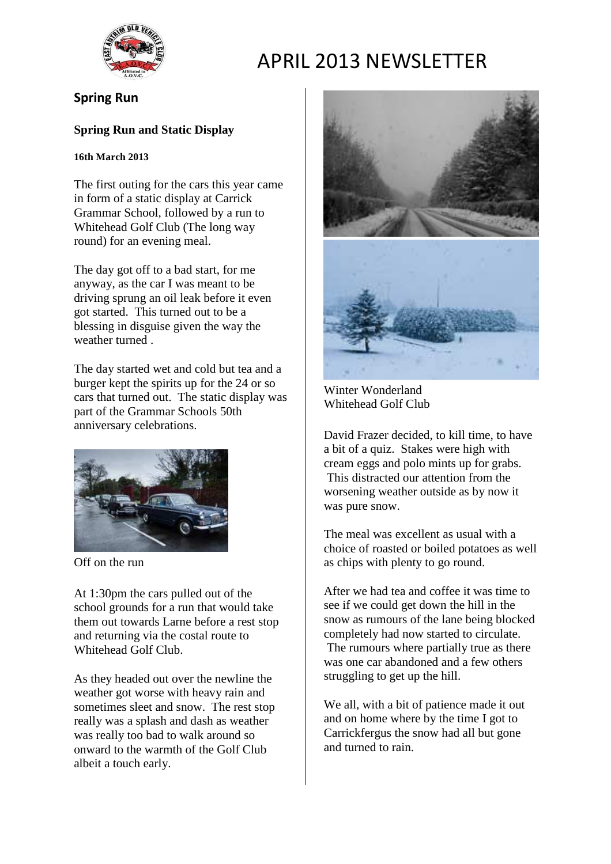

# APRIL 2013 NEWSLETTER

# **Spring Run**

## **Spring Run and Static Display**

## **16th March 2013**

The first outing for the cars this year came in form of a static display at Carrick Grammar School, followed by a run to Whitehead Golf Club (The long way round) for an evening meal.

The day got off to a bad start, for me anyway, as the car I was meant to be driving sprung an oil leak before it even got started. This turned out to be a blessing in disguise given the way the weather turned .

The day started wet and cold but tea and a burger kept the spirits up for the 24 or so cars that turned out. The static display was part of the Grammar Schools 50th anniversary celebrations.



Off on the run

At 1:30pm the cars pulled out of the school grounds for a run that would take them out towards Larne before a rest stop and returning via the costal route to Whitehead Golf Club.

As they headed out over the newline the weather got worse with heavy rain and sometimes sleet and snow. The rest stop really was a splash and dash as weather was really too bad to walk around so onward to the warmth of the Golf Club albeit a touch early.



Winter Wonderland Whitehead Golf Club

David Frazer decided, to kill time, to have a bit of a quiz. Stakes were high with cream eggs and polo mints up for grabs. This distracted our attention from the worsening weather outside as by now it was pure snow.

The meal was excellent as usual with a choice of roasted or boiled potatoes as well as chips with plenty to go round.

After we had tea and coffee it was time to see if we could get down the hill in the snow as rumours of the lane being blocked completely had now started to circulate. The rumours where partially true as there was one car abandoned and a few others struggling to get up the hill.

We all, with a bit of patience made it out and on home where by the time I got to Carrickfergus the snow had all but gone and turned to rain.